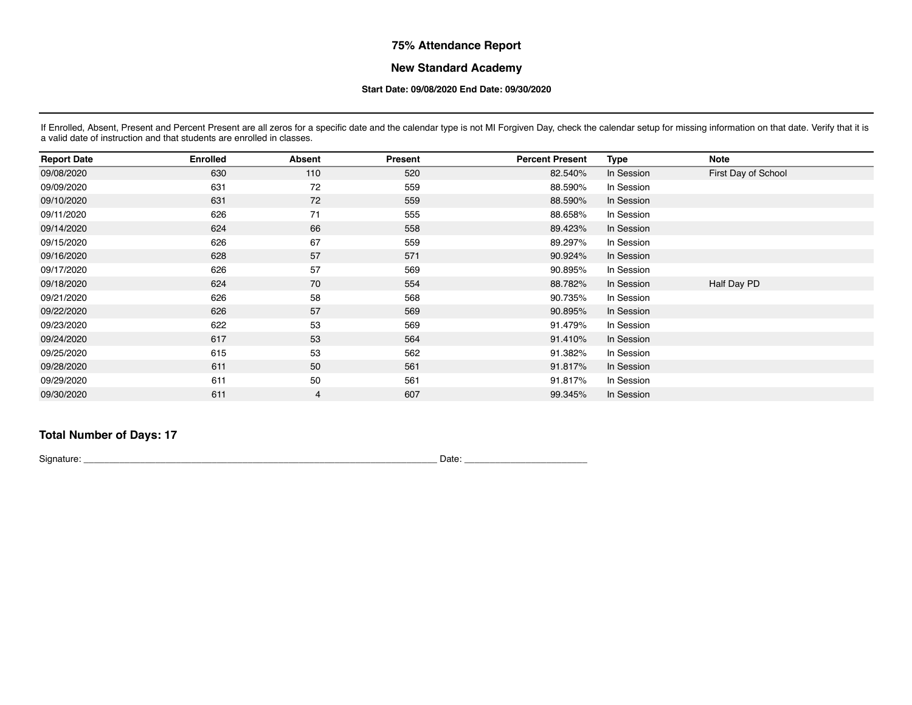## **75% Attendance Report**

### **New Standard Academy**

#### **Start Date: 09/08/2020 End Date: 09/30/2020**

If Enrolled, Absent, Present and Percent Present are all zeros for a specific date and the calendar type is not MI Forgiven Day, check the calendar setup for missing information on that date. Verify that it is a valid date of instruction and that students are enrolled in classes.

| <b>Report Date</b> | <b>Enrolled</b> | <b>Absent</b> | Present | <b>Percent Present</b> | Type       | <b>Note</b>         |
|--------------------|-----------------|---------------|---------|------------------------|------------|---------------------|
| 09/08/2020         | 630             | 110           | 520     | 82.540%                | In Session | First Day of School |
| 09/09/2020         | 631             | 72            | 559     | 88.590%                | In Session |                     |
| 09/10/2020         | 631             | 72            | 559     | 88.590%                | In Session |                     |
| 09/11/2020         | 626             | 71            | 555     | 88.658%                | In Session |                     |
| 09/14/2020         | 624             | 66            | 558     | 89.423%                | In Session |                     |
| 09/15/2020         | 626             | 67            | 559     | 89.297%                | In Session |                     |
| 09/16/2020         | 628             | 57            | 571     | 90.924%                | In Session |                     |
| 09/17/2020         | 626             | 57            | 569     | 90.895%                | In Session |                     |
| 09/18/2020         | 624             | 70            | 554     | 88.782%                | In Session | Half Day PD         |
| 09/21/2020         | 626             | 58            | 568     | 90.735%                | In Session |                     |
| 09/22/2020         | 626             | 57            | 569     | 90.895%                | In Session |                     |
| 09/23/2020         | 622             | 53            | 569     | 91.479%                | In Session |                     |
| 09/24/2020         | 617             | 53            | 564     | 91.410%                | In Session |                     |
| 09/25/2020         | 615             | 53            | 562     | 91.382%                | In Session |                     |
| 09/28/2020         | 611             | 50            | 561     | 91.817%                | In Session |                     |
| 09/29/2020         | 611             | 50            | 561     | 91.817%                | In Session |                     |
| 09/30/2020         | 611             | 4             | 607     | 99.345%                | In Session |                     |

## **Total Number of Days: 17**

Signature: \_\_\_\_\_\_\_\_\_\_\_\_\_\_\_\_\_\_\_\_\_\_\_\_\_\_\_\_\_\_\_\_\_\_\_\_\_\_\_\_\_\_\_\_\_\_\_\_\_\_\_\_\_\_\_\_\_\_\_\_\_\_\_\_\_\_\_\_\_ Date: \_\_\_\_\_\_\_\_\_\_\_\_\_\_\_\_\_\_\_\_\_\_\_\_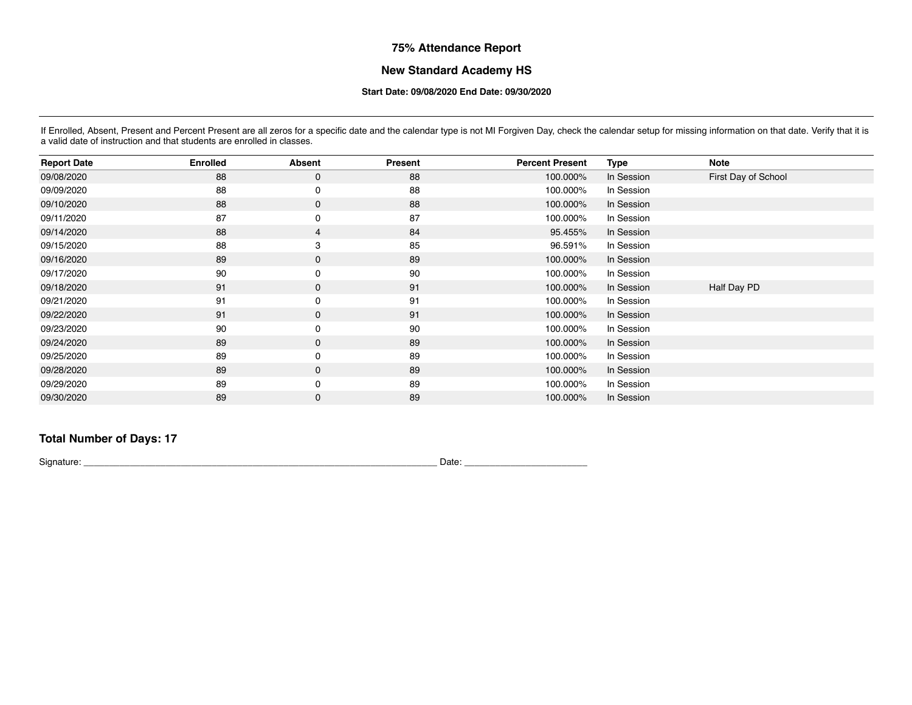# **75% Attendance Report**

### **New Standard Academy HS**

#### **Start Date: 09/08/2020 End Date: 09/30/2020**

If Enrolled, Absent, Present and Percent Present are all zeros for a specific date and the calendar type is not MI Forgiven Day, check the calendar setup for missing information on that date. Verify that it is a valid date of instruction and that students are enrolled in classes.

| <b>Report Date</b> | <b>Enrolled</b> | <b>Absent</b> | Present | <b>Percent Present</b> | Type       | <b>Note</b>         |
|--------------------|-----------------|---------------|---------|------------------------|------------|---------------------|
| 09/08/2020         | 88              | $\mathbf 0$   | 88      | 100.000%               | In Session | First Day of School |
| 09/09/2020         | 88              | 0             | 88      | 100.000%               | In Session |                     |
| 09/10/2020         | 88              | $\mathbf 0$   | 88      | 100.000%               | In Session |                     |
| 09/11/2020         | 87              | 0             | 87      | 100.000%               | In Session |                     |
| 09/14/2020         | 88              | 4             | 84      | 95.455%                | In Session |                     |
| 09/15/2020         | 88              | 3             | 85      | 96.591%                | In Session |                     |
| 09/16/2020         | 89              | $\mathbf 0$   | 89      | 100.000%               | In Session |                     |
| 09/17/2020         | 90              | 0             | 90      | 100.000%               | In Session |                     |
| 09/18/2020         | 91              | $\mathbf 0$   | 91      | 100.000%               | In Session | Half Day PD         |
| 09/21/2020         | 91              | 0             | 91      | 100.000%               | In Session |                     |
| 09/22/2020         | 91              | $\mathbf 0$   | 91      | 100.000%               | In Session |                     |
| 09/23/2020         | 90              | 0             | 90      | 100.000%               | In Session |                     |
| 09/24/2020         | 89              | $\mathbf 0$   | 89      | 100.000%               | In Session |                     |
| 09/25/2020         | 89              | 0             | 89      | 100.000%               | In Session |                     |
| 09/28/2020         | 89              | $\mathbf 0$   | 89      | 100.000%               | In Session |                     |
| 09/29/2020         | 89              | $\mathbf 0$   | 89      | 100.000%               | In Session |                     |
| 09/30/2020         | 89              | 0             | 89      | 100.000%               | In Session |                     |

## **Total Number of Days: 17**

Signature: \_\_\_\_\_\_\_\_\_\_\_\_\_\_\_\_\_\_\_\_\_\_\_\_\_\_\_\_\_\_\_\_\_\_\_\_\_\_\_\_\_\_\_\_\_\_\_\_\_\_\_\_\_\_\_\_\_\_\_\_\_\_\_\_\_\_\_\_\_ Date: \_\_\_\_\_\_\_\_\_\_\_\_\_\_\_\_\_\_\_\_\_\_\_\_